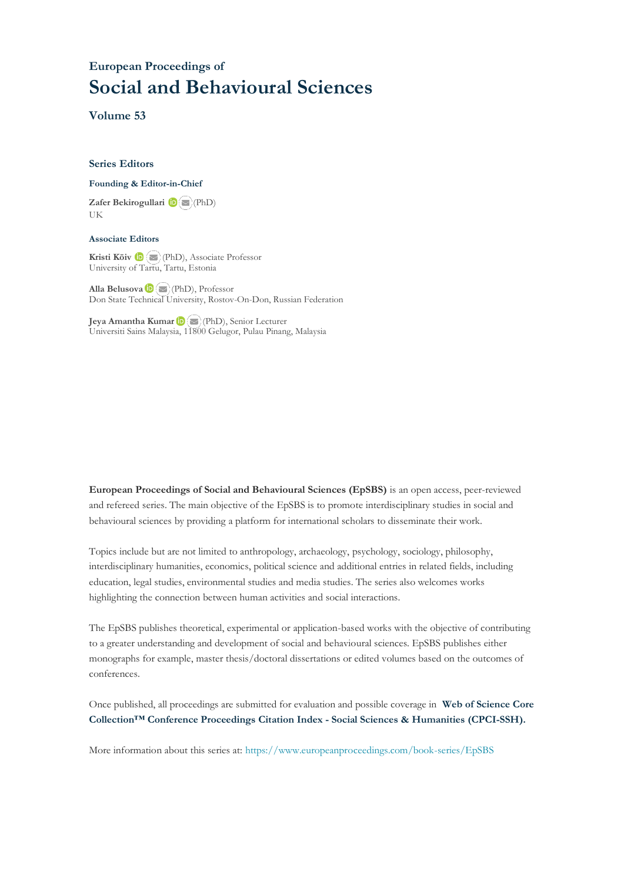## **European Proceedings of Social and Behavioural Sciences**

**Volume 53**

#### **Series Editors**

#### **Founding & Editor-in-Chief**

**Zafer Bekirogullari**(PhD) UK

#### **Associate Editors**

**Kristi Köiv** (PhD), Associate Professor University of Tartu, Tartu, Estonia

**Alla Belusova**(PhD), Professor Don State Technical University, Rostov-On-Don, Russian Federation

**Jeya Amantha Kumar**(PhD), Senior Lecturer Universiti Sains Malaysia, [1180](mailto:amantha@usm.my)0 Gelugor, Pulau Pinang, Malaysia

**European Proceedings of Social and Behavioural Sciences (EpSBS)** is an open access, peer-reviewed and refereed series. The main objective of the EpSBS is to promote interdisciplinary studies in social and behavioural sciences by providing a platform for international scholars to disseminate their work.

Topics include but are not limited to anthropology, archaeology, psychology, sociology, philosophy, interdisciplinary humanities, economics, political science and additional entries in related fields, including education, legal studies, environmental studies and media studies. The series also welcomes works highlighting the connection between human activities and social interactions.

The EpSBS publishes theoretical, experimental or application-based works with the objective of contributing to a greater understanding and development of social and behavioural sciences. EpSBS publishes either monographs for example, master thesis/doctoral dissertations or edited volumes based on the outcomes of conferences.

Once published, all proceedings are submitted for evaluation and possible coverage in **Web of [Science](https://clarivate.com/webofsciencegroup/solutions/webofscience-cpci/) Core Collection™ Conference Proceedings Citation Index - Social Sciences & Humanities [\(CPCI-SSH\).](https://clarivate.com/webofsciencegroup/solutions/webofscience-cpci/)**

More information about this series at[: https://www.europeanproceedings.com/book-series/EpSBS](https://www.europeanproceedings.com/book-series/EpSBS)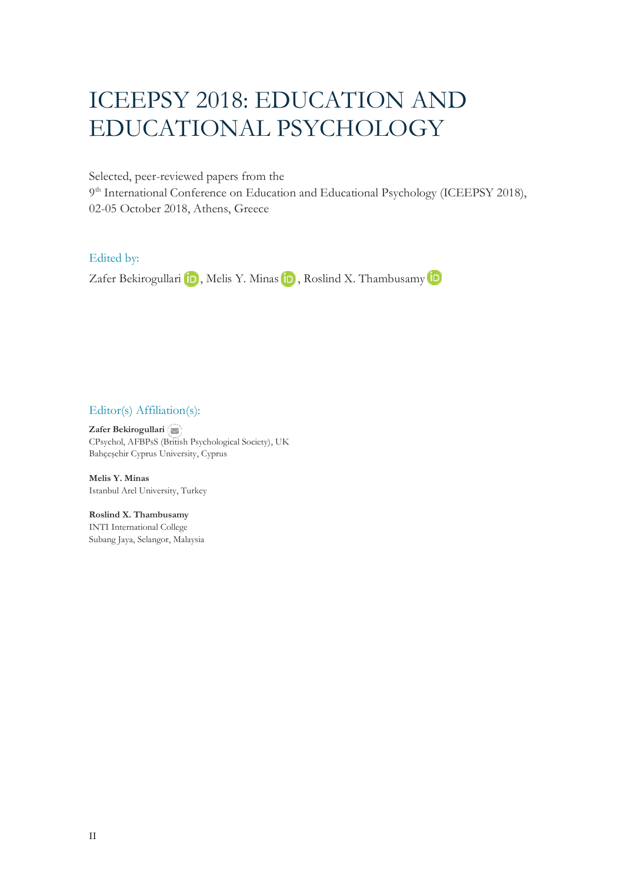# ICEEPSY 2018: EDUCATION AND EDUCATIONAL PSYCHOLOGY

Selected, peer-reviewed papers from the

9<sup>th</sup> International Conference on Education and Educational Psychology (ICEEPSY 2018), 02-05 October 2018, Athens, Greece

### Edited by:

ZaferBekirogullari **in**, Melis Y. Minas **in**, Roslind X. Thambusamy **in** 

### Editor(s) Affiliation(s):

**Zafer Bekirogullari** CPsychol, AFBPsS ([Britis](mailto:zafer.bekirogullari@cyprus.bau.edu.tr)h Psychological Society), UK Bahçeşehir Cyprus University, Cyprus

**Melis Y. Minas** Istanbul Arel University, Turkey

**Roslind X. Thambusamy** INTI International College Subang Jaya, Selangor, Malaysia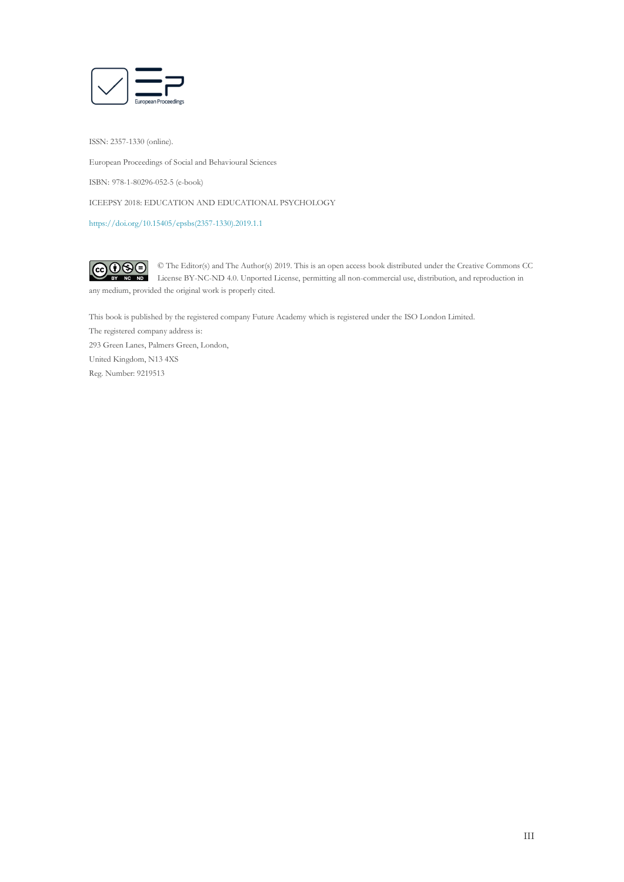

ISSN: 2357-1330 (online).

European Proceedings of Social and Behavioural Sciences

ISBN: 978-1-80296-052-5 (e-book)

ICEEPSY 2018: EDUCATION AND EDUCATIONAL PSYCHOLOGY

[https://doi.org/10.15405/epsbs\(2357-1330\).2019.1.1](https://doi.org/10.15405/epsbs(2357-1330).2019.1.1)

 $G \odot \odot$ © The Editor(s) and The Author(s) 2019. This is an open access book distributed under the Creative Commons CC License BY-NC-ND 4.0. Unported License, permitting all non-commercial use, distribution, and reproduction in  $\overline{ND}$ any medium, provided the original work is properly cited.

This book is published by the registered company Future Academy which is registered under the ISO London Limited. The registered company address is: 293 Green Lanes, Palmers Green, London, United Kingdom, N13 4XS Reg. Number: 9219513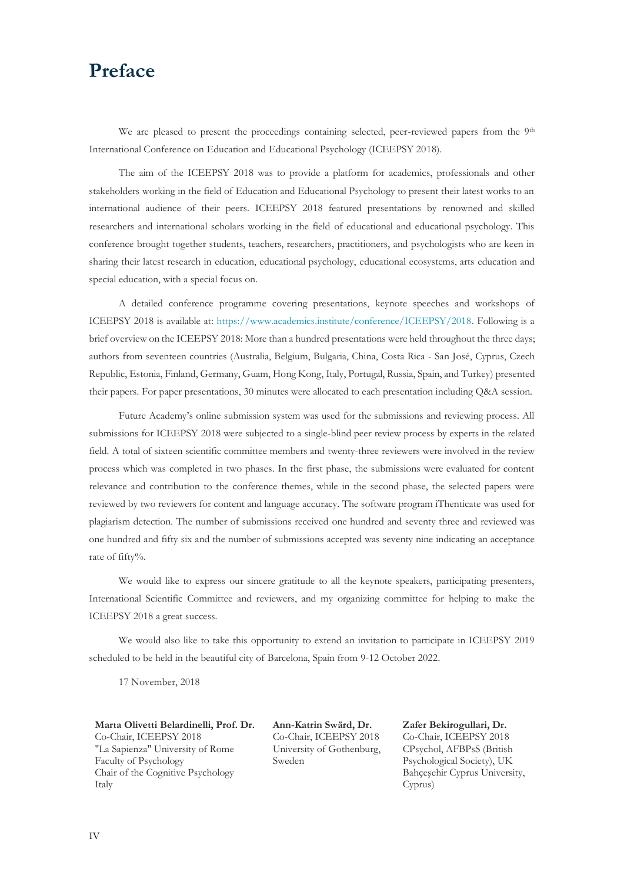## **Preface**

We are pleased to present the proceedings containing selected, peer-reviewed papers from the 9<sup>th</sup> International Conference on Education and Educational Psychology (ICEEPSY 2018).

The aim of the ICEEPSY 2018 was to provide a platform for academics, professionals and other stakeholders working in the field of Education and Educational Psychology to present their latest works to an international audience of their peers. ICEEPSY 2018 featured presentations by renowned and skilled researchers and international scholars working in the field of educational and educational psychology. This conference brought together students, teachers, researchers, practitioners, and psychologists who are keen in sharing their latest research in education, educational psychology, educational ecosystems, arts education and special education, with a special focus on.

A detailed conference programme covering presentations, keynote speeches and workshops of ICEEPSY 2018 is available at: [https://www.academics.institute/conference/ICEEPSY/2018.](https://www.academics.institute/conference/ICEEPSY/2018) Following is a brief overview on the ICEEPSY 2018: More than a hundred presentations were held throughout the three days; authors from seventeen countries (Australia, Belgium, Bulgaria, China, Costa Rica - San José, Cyprus, Czech Republic, Estonia, Finland, Germany, Guam, Hong Kong, Italy, Portugal, Russia, Spain, and Turkey) presented their papers. For paper presentations, 30 minutes were allocated to each presentation including Q&A session.

Future Academy's online submission system was used for the submissions and reviewing process. All submissions for ICEEPSY 2018 were subjected to a single-blind peer review process by experts in the related field. A total of sixteen scientific committee members and twenty-three reviewers were involved in the review process which was completed in two phases. In the first phase, the submissions were evaluated for content relevance and contribution to the conference themes, while in the second phase, the selected papers were reviewed by two reviewers for content and language accuracy. The software program iThenticate was used for plagiarism detection. The number of submissions received one hundred and seventy three and reviewed was one hundred and fifty six and the number of submissions accepted was seventy nine indicating an acceptance rate of fifty%.

We would like to express our sincere gratitude to all the keynote speakers, participating presenters, International Scientific Committee and reviewers, and my organizing committee for helping to make the ICEEPSY 2018 a great success.

We would also like to take this opportunity to extend an invitation to participate in ICEEPSY 2019 scheduled to be held in the beautiful city of Barcelona, Spain from 9-12 October 2022.

17 November, 2018

**Marta Olivetti Belardinelli, Prof. Dr.** Co-Chair, ICEEPSY 2018 "La Sapienza" University of Rome Faculty of Psychology Chair of the Cognitive Psychology Italy

**Ann-Katrin Swärd, Dr.** Co-Chair, ICEEPSY 2018 University of Gothenburg, Sweden

**Zafer Bekirogullari, Dr.** Co-Chair, ICEEPSY 2018 CPsychol, AFBPsS (British Psychological Society), UK Bahçeşehir Cyprus University, Cyprus)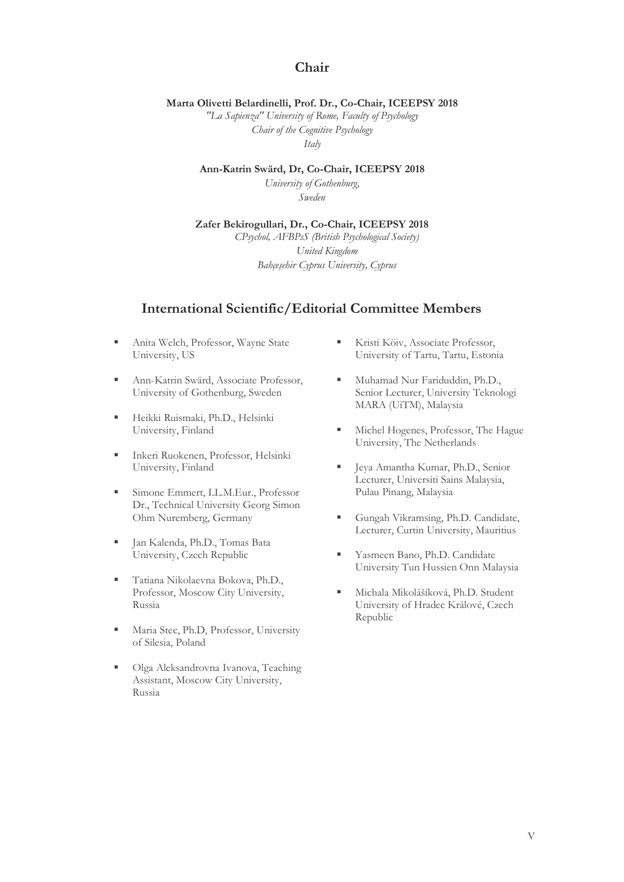## **Chair**

#### **Marta Olivetti Belardinelli, Prof. Dr., Co-Chair, ICEEPSY 2018**

*"La Sapienza" University of Rome, Faculty of Psychology Chair of the Cognitive Psychology Italy*

**Ann-Katrin Swärd, Dr, Co-Chair, ICEEPSY 2018**

*University of Gothenburg, Sweden*

## **Zafer Bekirogullari, Dr., Co-Chair, ICEEPSY 2018**

*CPsychol, AFBPsS (British Psychological Society) United Kingdom Bahçeşehir Cyprus University, Cyprus*

### **International Scientific/Editorial Committee Members**

- **EXECUTE:** Anita Welch, Professor, Wayne State University, US
- Ann-Katrin Swärd, Associate Professor, University of Gothenburg, Sweden
- **· Heikki Ruismaki, Ph.D., Helsinki** University, Finland
- Inkeri Ruokenen, Professor, Helsinki University, Finland
- **Emmert, LL.M.Eur., Professor** Dr., Technical University Georg Simon Ohm Nuremberg, Germany
- Jan Kalenda, Ph.D., Tomas Bata University, Czech Republic
- Tatiana Nikolaevna Bokova, Ph.D., Professor, Moscow City University, Russia
- **Independent Maria Stec, Ph.D, Professor, University** of Silesia, Poland
- Olga Aleksandrovna Ivanova, Teaching Assistant, Moscow City University, Russia
- **EXECUTE:** Kristi Köiv, Associate Professor, University of Tartu, Tartu, Estonia
- Muhamad Nur Fariduddin, Ph.D., Senior Lecturer, University Teknologi MARA (UiTM), Malaysia
- **EXECUTE:** Michel Hogenes, Professor, The Hague University, The Netherlands
- **·** Jeya Amantha Kumar, Ph.D., Senior Lecturer, Universiti Sains Malaysia, Pulau Pinang, Malaysia
- Gungah Vikramsing, Ph.D. Candidate, Lecturer, Curtin University, Mauritius
- **Example Bano**, Ph.D. Candidate University Tun Hussien Onn Malaysia
- **·** Michala Mikolášíková, Ph.D. Student University of Hradec Králové, Czech Republic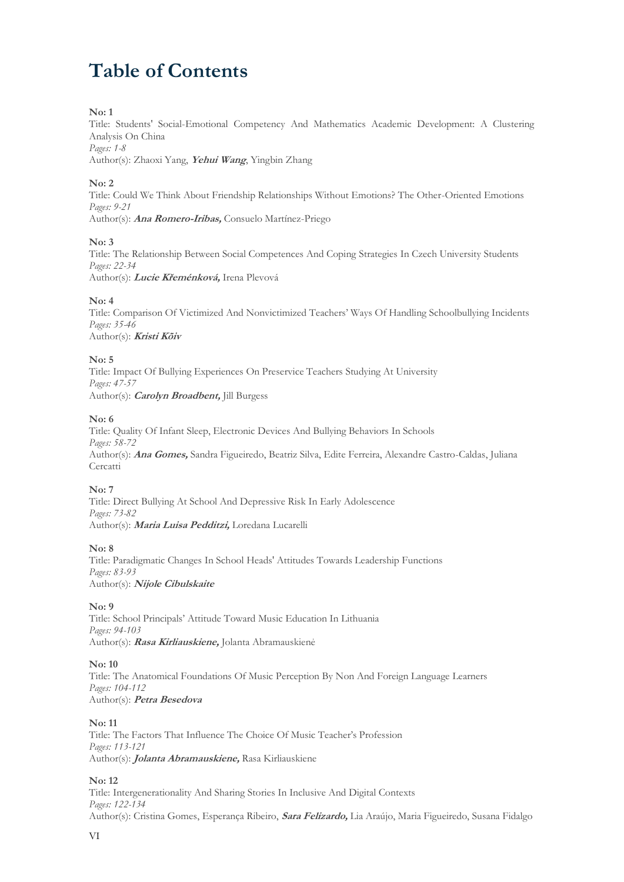## **Table of Contents**

#### **No: 1**

Title: Students' Social-Emotional Competency And Mathematics Academic Development: A Clustering Analysis On China *Pages: 1-8*

Author(s): Zhaoxi Yang, **Yehui Wang**, Yingbin Zhang

#### **No: 2**

Title: Could We Think About Friendship Relationships Without Emotions? The Other-Oriented Emotions *Pages: 9-21* Author(s): **Ana Romero-Iribas,** Consuelo Martínez-Priego

#### **No: 3**

Title: The Relationship Between Social Competences And Coping Strategies In Czech University Students *Pages: 22-34* Author(s): **Lucie Křeménková,** Irena Plevová

#### **No: 4**

Title: Comparison Of Victimized And Nonvictimized Teachers' Ways Of Handling Schoolbullying Incidents *Pages: 35-46* Author(s): **Kristi Kõiv**

#### **No: 5**

Title: Impact Of Bullying Experiences On Preservice Teachers Studying At University *Pages: 47-57* Author(s): **Carolyn Broadbent,** Jill Burgess

#### **No: 6**

Title: Quality Of Infant Sleep, Electronic Devices And Bullying Behaviors In Schools *Pages: 58-72* Author(s): **Ana Gomes,** Sandra Figueiredo, Beatriz Silva, Edite Ferreira, Alexandre Castro-Caldas, Juliana **Cercatti** 

#### **No: 7**

Title: Direct Bullying At School And Depressive Risk In Early Adolescence *Pages: 73-82* Author(s): **Maria Luisa Pedditzi,** Loredana Lucarelli

#### **No: 8**

Title: Paradigmatic Changes In School Heads' Attitudes Towards Leadership Functions *Pages: 83-93* Author(s): **Nijole Cibulskaite**

#### **No: 9**

Title: School Principals' Attitude Toward Music Education In Lithuania *Pages: 94-103* Author(s): **Rasa Kirliauskiene,** Jolanta Abramauskienė

#### **No: 10**

Title: The Anatomical Foundations Of Music Perception By Non And Foreign Language Learners *Pages: 104-112* Author(s): **Petra Besedova**

#### **No: 11**

Title: The Factors That Influence The Choice Of Music Teacher's Profession *Pages: 113-121* Author(s): **Jolanta Abramauskiene,** Rasa Kirliauskiene

#### **No: 12**

Title: Intergenerationality And Sharing Stories In Inclusive And Digital Contexts *Pages: 122-134* Author(s): Cristina Gomes, Esperança Ribeiro, **Sara Felizardo,** Lia Araújo, Maria Figueiredo, Susana Fidalgo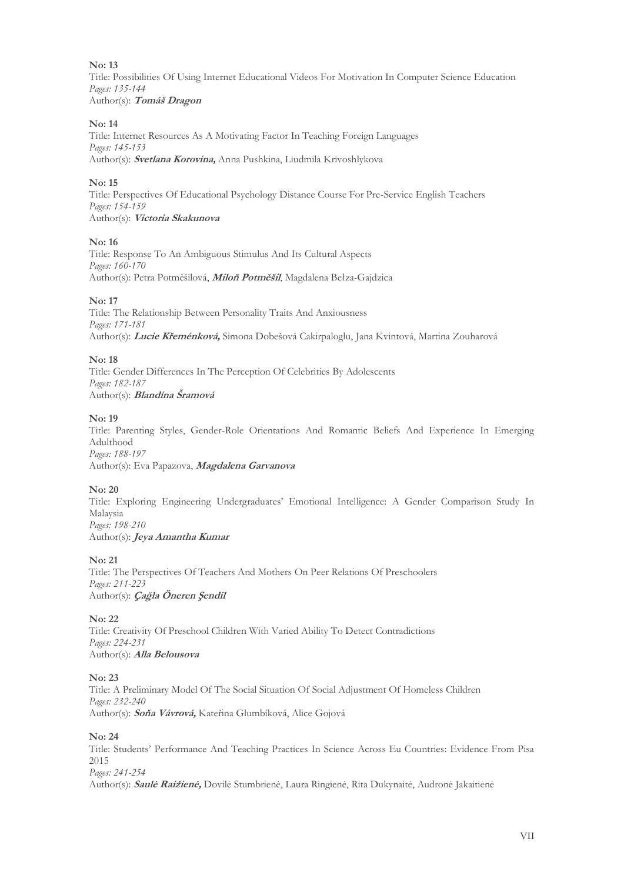#### **No: 13**

Title: Possibilities Of Using Internet Educational Videos For Motivation In Computer Science Education *Pages: 135-144* Author(s): **Tomáš Dragon**

#### **No: 14**

Title: Internet Resources As A Motivating Factor In Teaching Foreign Languages *Pages: 145-153* Author(s): **Svetlana Korovina,** Anna Pushkina, Liudmila Krivoshlykova

#### **No: 15**

Title: Perspectives Of Educational Psychology Distance Course For Pre-Service English Teachers *Pages: 154-159* Author(s): **Victoria Skakunova**

#### **No: 16**

Title: Response To An Ambiguous Stimulus And Its Cultural Aspects *Pages: 160-170* Author(s): Petra Potměšilová, **Miloň Potměšil**, Magdalena Bełza-Gajdzica

#### **No: 17**

Title: The Relationship Between Personality Traits And Anxiousness *Pages: 171-181* Author(s): **Lucie Křeménková,** Simona Dobešová Cakirpaloglu, Jana Kvintová, Martina Zouharová

#### **No: 18**

Title: Gender Differences In The Perception Of Celebrities By Adolescents *Pages: 182-187* Author(s): **Blandína Šramová**

#### **No: 19**

Title: Parenting Styles, Gender-Role Orientations And Romantic Beliefs And Experience In Emerging Adulthood *Pages: 188-197* Author(s): Eva Papazova, **Magdalena Garvanova**

#### **No: 20**

Title: Exploring Engineering Undergraduates' Emotional Intelligence: A Gender Comparison Study In Malaysia *Pages: 198-210* Author(s): **Jeya Amantha Kumar**

#### **No: 21**

Title: The Perspectives Of Teachers And Mothers On Peer Relations Of Preschoolers *Pages: 211-223* Author(s): **Çağla Öneren Şendil**

#### **No: 22**

Title: Creativity Of Preschool Children With Varied Ability To Detect Contradictions *Pages: 224-231* Author(s): **Alla Belousova**

#### **No: 23**

Title: A Preliminary Model Of The Social Situation Of Social Adjustment Of Homeless Children *Pages: 232-240* Author(s): **Soňa Vávrová,** Kateřina Glumbíková, Alice Gojová

#### **No: 24**

Title: Students' Performance And Teaching Practices In Science Across Eu Countries: Evidence From Pisa 2015 *Pages: 241-254*

Author(s): **Saulė Raižienė,** Dovilė Stumbrienė, Laura Ringienė, Rita Dukynaitė, Audronė Jakaitienė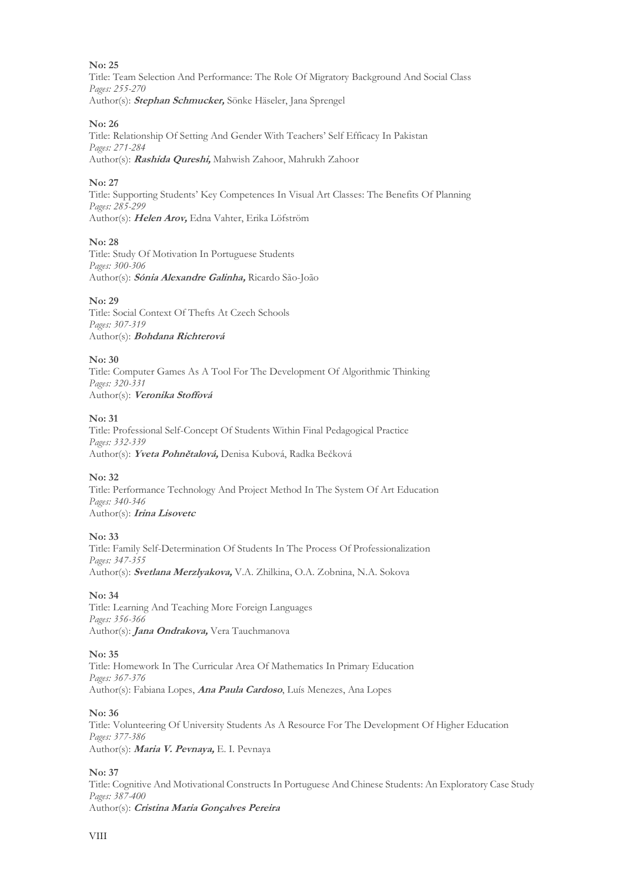#### **No: 25**

Title: Team Selection And Performance: The Role Of Migratory Background And Social Class *Pages: 255-270* Author(s): **Stephan Schmucker,** Sönke Häseler, Jana Sprengel

#### **No: 26**

Title: Relationship Of Setting And Gender With Teachers' Self Efficacy In Pakistan *Pages: 271-284* Author(s): **Rashida Qureshi,** Mahwish Zahoor, Mahrukh Zahoor

#### **No: 27**

Title: Supporting Students' Key Competences In Visual Art Classes: The Benefits Of Planning *Pages: 285-299* Author(s): **Helen Arov,** Edna Vahter, Erika Löfström

**No: 28**

Title: Study Of Motivation In Portuguese Students *Pages: 300-306* Author(s): **Sónia Alexandre Galinha,** Ricardo São-João

#### **No: 29**

Title: Social Context Of Thefts At Czech Schools *Pages: 307-319* Author(s): **Bohdana Richterová**

#### **No: 30**

Title: Computer Games As A Tool For The Development Of Algorithmic Thinking *Pages: 320-331* Author(s): **Veronika Stoffová**

#### **No: 31**

Title: Professional Self-Concept Of Students Within Final Pedagogical Practice *Pages: 332-339* Author(s): **Yveta Pohnětalová,** Denisa Kubová, Radka Bečková

#### **No: 32**

Title: Performance Technology And Project Method In The System Of Art Education *Pages: 340-346* Author(s): **Irina Lisovetc**

#### **No: 33**

Title: Family Self-Determination Of Students In The Process Of Professionalization *Pages: 347-355* Author(s): **Svetlana Merzlyakova,** V.A. Zhilkina, О.А. Zobnina, N.А. Sokova

#### **No: 34**

Title: Learning And Teaching More Foreign Languages *Pages: 356-366* Author(s): **Jana Ondrakova,** Vera Tauchmanova

#### **No: 35**

Title: Homework In The Curricular Area Of Mathematics In Primary Education *Pages: 367-376* Author(s): Fabiana Lopes, **Ana Paula Cardoso**, Luís Menezes, Ana Lopes

**No: 36**

Title: Volunteering Of University Students As A Resource For The Development Of Higher Education *Pages: 377-386* Author(s): **Maria V. Pevnaya,** E. I. Pevnaya

#### **No: 37**

Title: Cognitive And Motivational Constructs In Portuguese And Chinese Students: An Exploratory Case Study *Pages: 387-400* Author(s): **Cristina Maria Gonçalves Pereira**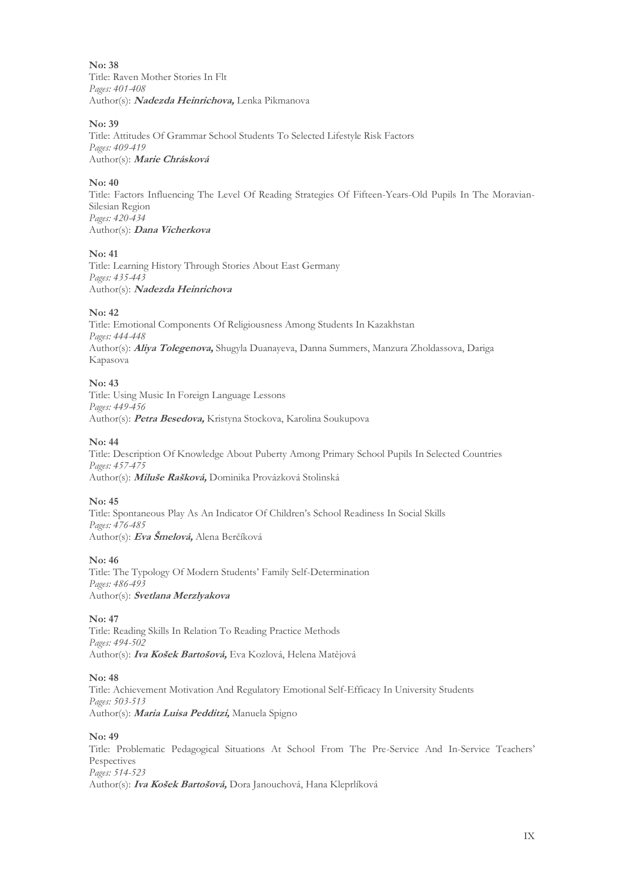**No: 38** Title: Raven Mother Stories In Flt *Pages: 401-408* Author(s): **Nadezda Heinrichova,** Lenka Pikmanova

#### **No: 39**

Title: Attitudes Of Grammar School Students To Selected Lifestyle Risk Factors *Pages: 409-419* Author(s): **Marie Chrásková**

#### **No: 40**

Title: Factors Influencing The Level Of Reading Strategies Of Fifteen-Years-Old Pupils In The Moravian-Silesian Region *Pages: 420-434* Author(s): **Dana Vicherkova**

#### **No: 41**

Title: Learning History Through Stories About East Germany *Pages: 435-443* Author(s): **Nadezda Heinrichova**

#### **No: 42**

Title: Emotional Components Of Religiousness Among Students In Kazakhstan *Pages: 444-448* Author(s): **Aliya Tolegenova,** Shugyla Duanayeva, Danna Summers, Manzura Zholdassova, Dariga Kapasova

#### **No: 43**

Title: Using Music In Foreign Language Lessons *Pages: 449-456* Author(s): **Petra Besedova,** Kristyna Stockova, Karolina Soukupova

#### **No: 44**

Title: Description Of Knowledge About Puberty Among Primary School Pupils In Selected Countries *Pages: 457-475* Author(s): **Miluše Rašková,** Dominika Provázková Stolinská

#### **No: 45**

Title: Spontaneous Play As An Indicator Of Children's School Readiness In Social Skills *Pages: 476-485* Author(s): **Eva Šmelová,** Alena Berčíková

#### **No: 46**

Title: The Typology Of Modern Students' Family Self-Determination *Pages: 486-493* Author(s): **Svetlana Merzlyakova**

#### **No: 47**

Title: Reading Skills In Relation To Reading Practice Methods *Pages: 494-502* Author(s): **Iva Košek Bartošová,** Eva Kozlová, Helena Matějová

#### **No: 48**

Title: Achievement Motivation And Regulatory Emotional Self-Efficacy In University Students *Pages: 503-513* Author(s): **Maria Luisa Pedditzi,** Manuela Spigno

#### **No: 49**

Title: Problematic Pedagogical Situations At School From The Pre-Service And In-Service Teachers' Pespectives *Pages: 514-523* Author(s): **Iva Košek Bartošová,** Dora Janouchová, Hana Kleprlíková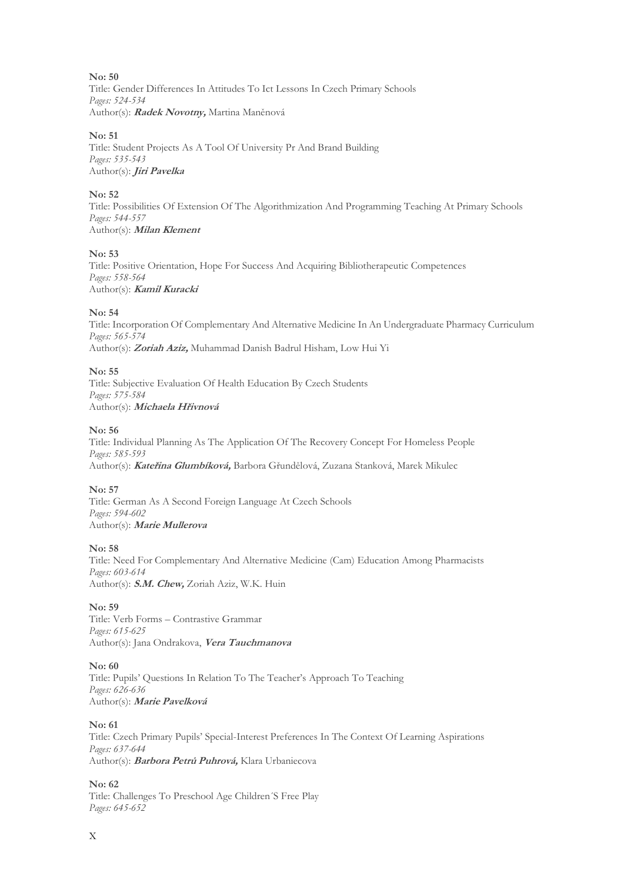**No: 50** Title: Gender Differences In Attitudes To Ict Lessons In Czech Primary Schools *Pages: 524-534* Author(s): **Radek Novotny,** Martina Maněnová

#### **No: 51**

Title: Student Projects As A Tool Of University Pr And Brand Building *Pages: 535-543* Author(s): **Jiri Pavelka**

#### **No: 52**

Title: Possibilities Of Extension Of The Algorithmization And Programming Teaching At Primary Schools *Pages: 544-557* Author(s): **Milan Klement**

#### **No: 53**

Title: Positive Orientation, Hope For Success And Acquiring Bibliotherapeutic Competences *Pages: 558-564* Author(s): **Kamil Kuracki**

#### **No: 54**

Title: Incorporation Of Complementary And Alternative Medicine In An Undergraduate Pharmacy Curriculum *Pages: 565-574* Author(s): **Zoriah Aziz,** Muhammad Danish Badrul Hisham, Low Hui Yi

#### **No: 55**

Title: Subjective Evaluation Of Health Education By Czech Students *Pages: 575-584* Author(s): **Michaela Hřivnová**

#### **No: 56**

Title: Individual Planning As The Application Of The Recovery Concept For Homeless People *Pages: 585-593* Author(s): **Kateřina Glumbíková,** Barbora Gřundělová, Zuzana Stanková, Marek Mikulec

#### **No: 57**

Title: German As A Second Foreign Language At Czech Schools *Pages: 594-602* Author(s): **Marie Mullerova**

#### **No: 58**

Title: Need For Complementary And Alternative Medicine (Cam) Education Among Pharmacists *Pages: 603-614* Author(s): **S.M. Chew,** Zoriah Aziz, W.K. Huin

#### **No: 59**

Title: Verb Forms – Contrastive Grammar *Pages: 615-625* Author(s): Jana Ondrakova, **Vera Tauchmanova**

#### **No: 60**

Title: Pupils' Questions In Relation To The Teacher's Approach To Teaching *Pages: 626-636* Author(s): **Marie Pavelková**

#### **No: 61**

Title: Czech Primary Pupils' Special-Interest Preferences In The Context Of Learning Aspirations *Pages: 637-644* Author(s): **Barbora Petrů Puhrová,** Klara Urbaniecova

**No: 62**

Title: Challenges To Preschool Age Children´S Free Play *Pages: 645-652*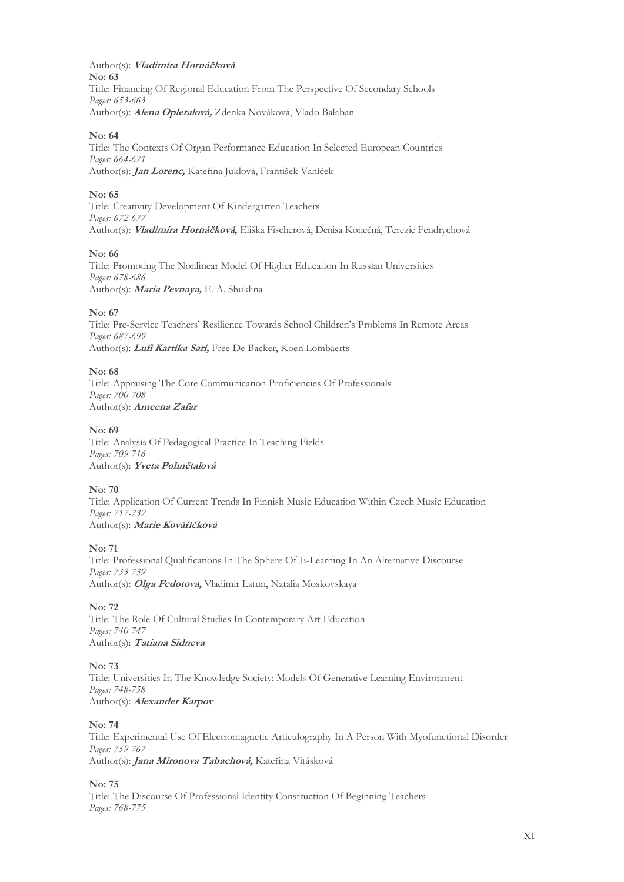Author(s): **Vladimíra Hornáčková No: 63** Title: Financing Of Regional Education From The Perspective Of Secondary Schools *Pages: 653-663* Author(s): **Alena Opletalová,** Zdenka Nováková, Vlado Balaban

#### **No: 64**

Title: The Contexts Of Organ Performance Education In Selected European Countries *Pages: 664-671* Author(s): **Jan Lorenc,** Kateřina Juklová, František Vaníček

#### **No: 65**

Title: Creativity Development Of Kindergarten Teachers *Pages: 672-677* Author(s): **Vladimíra Hornáčková,** Eliška Fischerová, Denisa Konečná, Terezie Fendrychová

#### **No: 66**

Title: Promoting The Nonlinear Model Of Higher Education In Russian Universities *Pages: 678-686* Author(s): **Maria Pevnaya,** E. A. Shuklina

#### **No: 67**

Title: Pre-Service Teachers' Resilience Towards School Children's Problems In Remote Areas *Pages: 687-699* Author(s): **Lufi Kartika Sari,** Free De Backer, Koen Lombaerts

#### **No: 68**

Title: Appraising The Core Communication Proficiencies Of Professionals *Pages: 700-708* Author(s): **Ameena Zafar**

#### **No: 69**

Title: Analysis Of Pedagogical Practice In Teaching Fields *Pages: 709-716* Author(s): **Yveta Pohnětalová**

#### **No: 70**

Title: Application Of Current Trends In Finnish Music Education Within Czech Music Education *Pages: 717-732* Author(s): **Marie Kováříčková**

#### **No: 71**

Title: Professional Qualifications In The Sphere Of E-Learning In An Alternative Discourse *Pages: 733-739* Author(s): **Olga Fedotova,** Vladimir Latun, Natalia Moskovskaya

#### **No: 72**

Title: The Role Of Cultural Studies In Contemporary Art Education *Pages: 740-747* Author(s): **Tatiana Sidneva**

#### **No: 73**

Title: Universities In The Knowledge Society: Models Of Generative Learning Environment *Pages: 748-758* Author(s): **Alexander Karpov**

#### **No: 74**

Title: Experimental Use Of Electromagnetic Articulography In A Person With Myofunctional Disorder *Pages: 759-767* Author(s): **Jana Mironova Tabachová,** Kateřina Vitásková

#### **No: 75**

Title: The Discourse Of Professional Identity Construction Of Beginning Teachers *Pages: 768-775*